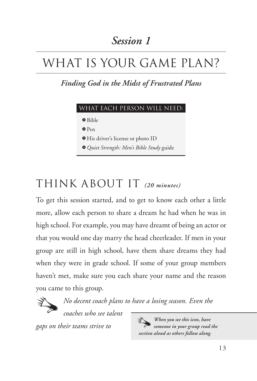### *Session 1*

# WHAT IS YOUR GAME PLAN?

*Finding God in the Midst of Frustrated Plans*

### What each person will need:

Q Bible

Q Pen

Q His driver's license or photo ID

Q *Quiet Strength: Men's Bible Study* guide

## Think About It *(20 minutes)*

To get this session started, and to get to know each other a little more, allow each person to share a dream he had when he was in high school. For example, you may have dreamt of being an actor or that you would one day marry the head cheerleader. If men in your group are still in high school, have them share dreams they had when they were in grade school. If some of your group members haven't met, make sure you each share your name and the reason you came to this group.



*No decent coach plans to have a losing season. Even the* 

*coaches who see talent* 

*gaps on their teams strive to* 

ヅ *When you see this icon, have someone in your group read the section aloud as others follow along.*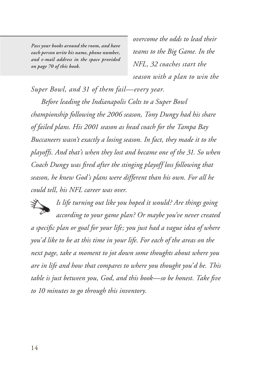*Pass your books around the room, and have each person write his name, phone number, and e-mail address in the space provided on page 70 of this book.*

*overcome the odds to lead their teams to the Big Game. In the NFL, 32 coaches start the season with a plan to win the* 

*Super Bowl, and 31 of them fail—every year.*

*Before leading the Indianapolis Colts to a Super Bowl championship following the 2006 season, Tony Dungy had his share of failed plans. His 2001 season as head coach for the Tampa Bay Buccaneers wasn't exactly a losing season. In fact, they made it to the playoffs. And that's when they lost and became one of the 31. So when Coach Dungy was fired after the stinging playoff loss following that season, he knew God's plans were different than his own. For all he could tell, his NFL career was over.* 

*Is life turning out like you hoped it would? Are things going according to your game plan? Or maybe you've never created a specific plan or goal for your life; you just had a vague idea of where you'd like to be at this time in your life. For each of the areas on the next page, take a moment to jot down some thoughts about where you are in life and how that compares to where you thought you'd be. This table is just between you, God, and this book—so be honest. Take five to 10 minutes to go through this inventory.*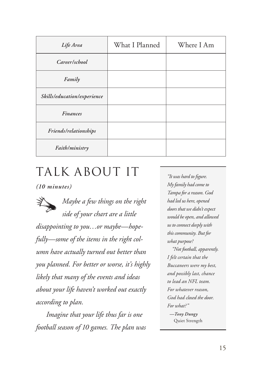| Life Area                   | What I Planned | Where I Am |
|-----------------------------|----------------|------------|
| Career/school               |                |            |
| Family                      |                |            |
| Skills/education/experience |                |            |
| <b>Finances</b>             |                |            |
| Friends/relationships       |                |            |
| Faith/ministry              |                |            |

## Talk About It

*(10 minutes)*

*Maybe a few things on the right side of your chart are a little disappointing to you…or maybe—hopefully—some of the items in the right column have actually turned out better than you planned. For better or worse, it's highly likely that many of the events and ideas about your life haven't worked out exactly according to plan.* 

*Imagine that your life thus far is one football season of 10 games. The plan was* 

*"It was hard to figure. My family had come to Tampa for a reason. God had led us here, opened doors that we didn't expect would be open, and allowed us to connect deeply with this community. But for what purpose?* 

*"Not football, apparently. I felt certain that the Buccaneers were my best, and possibly last, chance to lead an NFL team. For whatever reason, God had closed the door. For what?" —Tony Dungy* Quiet Strength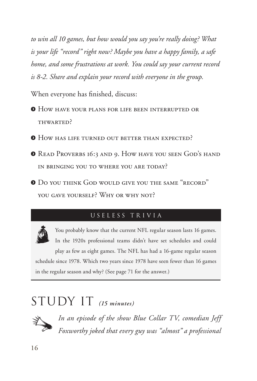*to win all 10 games, but how would you say you're really doing? What is your life "record" right now? Maybe you have a happy family, a safe home, and some frustrations at work. You could say your current record is 8-2. Share and explain your record with everyone in the group.* 

When everyone has finished, discuss:

- Q How have your plans for life been interrupted or THWARTED?
- **O** How has life turned out better than expected?
- Q Read Proverbs 16:3 and 9. How have you seen God's hand in bringing you to where you are today?
- Q Do you think God would give you the same "record" YOU GAVE YOURSELF? WHY OR WHY NOT?

#### USELESS TRIVIA



You probably know that the current NFL regular season lasts 16 games. In the 1920s professional teams didn't have set schedules and could play as few as eight games. The NFL has had a 16-game regular season schedule since 1978. Which two years since 1978 have seen fewer than 16 games in the regular season and why? (See page 71 for the answer.)

# $STUDYIT$  (15 minutes)



*In an episode of the show Blue Collar TV, comedian Jeff Foxworthy joked that every guy was "almost" a professional*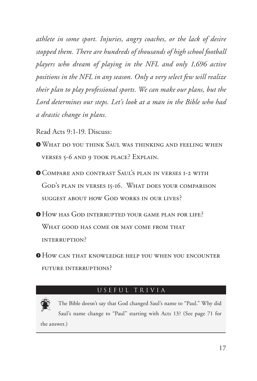*athlete in some sport. Injuries, angry coaches, or the lack of desire stopped them. There are hundreds of thousands of high school football players who dream of playing in the NFL and only 1,696 active positions in the NFL in any season. Only a very select few will realize their plan to play professional sports. We can make our plans, but the Lord determines our steps. Let's look at a man in the Bible who had a drastic change in plans.*

Read Acts 9:1-19. Discuss:

QWhat do you think Saul was thinking and feeling when verses 5-6 and 9 took place? Explain.

Q Compare and contrast Saul's plan in verses 1-2 with God's plan in verses 15-16. What does your comparison suggest about how God works in our lives?

Q How has God interrupted your game plan for life? WHAT GOOD HAS COME OR MAY COME FROM THAT interruption?

Q How can that knowledge help you when you encounter future interruptions?

#### USEFUL TRIVIA



The Bible doesn't say that God changed Saul's name to "Paul." Why did Saul's name change to "Paul" starting with Acts 13? (See page 71 for the answer.)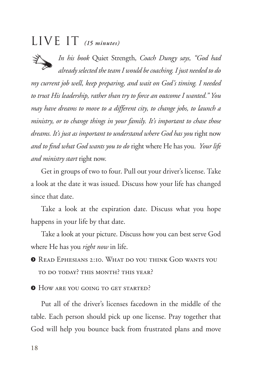## $LIVE IT$  (15 minutes)

*In his book* Quiet Strength, *Coach Dungy says, "God had already selected the team I would be coaching. I just needed to do* 

*my current job well, keep preparing, and wait on God's timing. I needed to trust His leadership, rather than try to force an outcome I wanted." You may have dreams to move to a different city, to change jobs, to launch a ministry, or to change things in your family. It's important to chase those dreams. It's just as important to understand where God has you* right now *and to find what God wants you to do* right where He has you. *Your life and ministry start* right now*.* 

Get in groups of two to four. Pull out your driver's license. Take a look at the date it was issued. Discuss how your life has changed since that date.

Take a look at the expiration date. Discuss what you hope happens in your life by that date.

Take a look at your picture. Discuss how you can best serve God where He has you *right now* in life.

Q Read Ephesians 2:10. What do you think God wants you to do today? this month? this year?

**O** How are you going to get started?

Put all of the driver's licenses facedown in the middle of the table. Each person should pick up one license. Pray together that God will help you bounce back from frustrated plans and move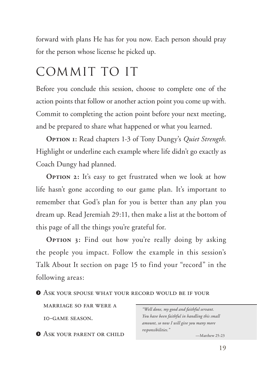forward with plans He has for you now. Each person should pray for the person whose license he picked up.

# Commit to It

Before you conclude this session, choose to complete one of the action points that follow or another action point you come up with. Commit to completing the action point before your next meeting, and be prepared to share what happened or what you learned.

**Option 1:** Read chapters 1-3 of Tony Dungy's *Quiet Strength*. Highlight or underline each example where life didn't go exactly as Coach Dungy had planned.

**OPTION 2:** It's easy to get frustrated when we look at how life hasn't gone according to our game plan. It's important to remember that God's plan for you is better than any plan you dream up. Read Jeremiah 29:11, then make a list at the bottom of this page of all the things you're grateful for.

**OPTION 3:** Find out how you're really doing by asking the people you impact. Follow the example in this session's Talk About It section on page 15 to find your "record" in the following areas:

**O** ASK YOUR SPOUSE WHAT YOUR RECORD WOULD BE IF YOUR

marriage so far were a 10-game season.

**O** ASK YOUR PARENT OR CHILD

*"Well done, my good and faithful servant. You have been faithful in handling this small amount, so now I will give you many more responsibilities."*

—Matthew 25:23